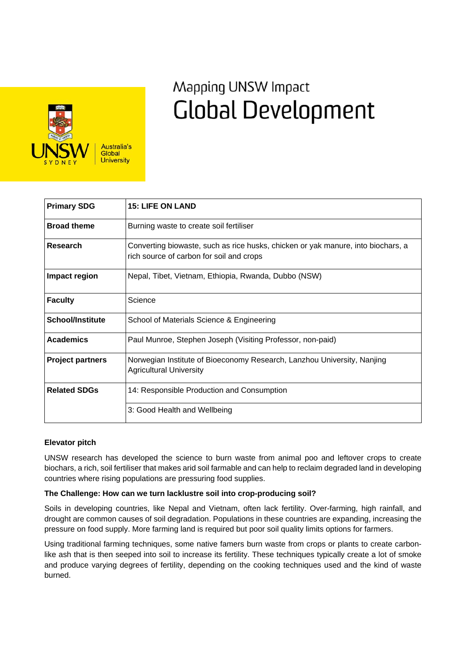

# Mapping UNSW Impact **Global Development**

| <b>Primary SDG</b>      | <b>15: LIFE ON LAND</b>                                                                                                      |
|-------------------------|------------------------------------------------------------------------------------------------------------------------------|
| <b>Broad theme</b>      | Burning waste to create soil fertiliser                                                                                      |
| Research                | Converting biowaste, such as rice husks, chicken or yak manure, into biochars, a<br>rich source of carbon for soil and crops |
| Impact region           | Nepal, Tibet, Vietnam, Ethiopia, Rwanda, Dubbo (NSW)                                                                         |
| <b>Faculty</b>          | Science                                                                                                                      |
| <b>School/Institute</b> | School of Materials Science & Engineering                                                                                    |
| <b>Academics</b>        | Paul Munroe, Stephen Joseph (Visiting Professor, non-paid)                                                                   |
| <b>Project partners</b> | Norwegian Institute of Bioeconomy Research, Lanzhou University, Nanjing<br><b>Agricultural University</b>                    |
| <b>Related SDGs</b>     | 14: Responsible Production and Consumption                                                                                   |
|                         | 3: Good Health and Wellbeing                                                                                                 |

## **Elevator pitch**

UNSW research has developed the science to burn waste from animal poo and leftover crops to create biochars, a rich, soil fertiliser that makes arid soil farmable and can help to reclaim degraded land in developing countries where rising populations are pressuring food supplies.

### **The Challenge: How can we turn lacklustre soil into crop-producing soil?**

Soils in developing countries, like Nepal and Vietnam, often lack fertility. Over-farming, high rainfall, and drought are common causes of soil degradation. Populations in these countries are expanding, increasing the pressure on food supply. More farming land is required but poor soil quality limits options for farmers.

Using traditional farming techniques, some native famers burn waste from crops or plants to create carbonlike ash that is then seeped into soil to increase its fertility. These techniques typically create a lot of smoke and produce varying degrees of fertility, depending on the cooking techniques used and the kind of waste burned.